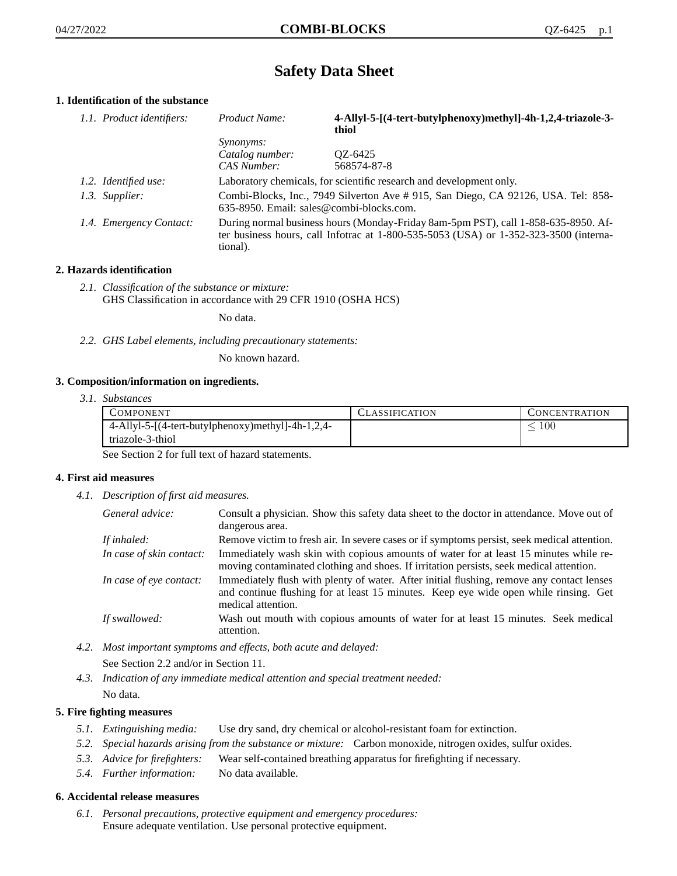# **Safety Data Sheet**

## **1. Identification of the substance**

| 1.1. Product identifiers: | Product Name:                                                                                                                                                                               | 4-Allyl-5-[(4-tert-butylphenoxy)methyl]-4h-1,2,4-triazole-3-<br>thiol |
|---------------------------|---------------------------------------------------------------------------------------------------------------------------------------------------------------------------------------------|-----------------------------------------------------------------------|
|                           | <i>Synonyms:</i>                                                                                                                                                                            |                                                                       |
|                           | Catalog number:                                                                                                                                                                             | QZ-6425                                                               |
|                           | CAS Number:                                                                                                                                                                                 | 568574-87-8                                                           |
| 1.2. Identified use:      |                                                                                                                                                                                             | Laboratory chemicals, for scientific research and development only.   |
| 1.3. Supplier:            | Combi-Blocks, Inc., 7949 Silverton Ave # 915, San Diego, CA 92126, USA. Tel: 858-<br>635-8950. Email: sales@combi-blocks.com.                                                               |                                                                       |
| 1.4. Emergency Contact:   | During normal business hours (Monday-Friday 8am-5pm PST), call 1-858-635-8950. Af-<br>ter business hours, call Infotrac at $1-800-535-5053$ (USA) or $1-352-323-3500$ (interna-<br>tional). |                                                                       |

## **2. Hazards identification**

*2.1. Classification of the substance or mixture:* GHS Classification in accordance with 29 CFR 1910 (OSHA HCS)

No data.

*2.2. GHS Label elements, including precautionary statements:*

No known hazard.

## **3. Composition/information on ingredients.**

*3.1. Substances*

| COMPONENT                                         | CLASSIFICATION | <b>CONCENTRATION</b> |
|---------------------------------------------------|----------------|----------------------|
| 4-Allyl-5-[(4-tert-butylphenoxy)methyl]-4h-1,2,4- |                | 100                  |
| triazole-3-thiol                                  |                |                      |

See Section 2 for full text of hazard statements.

## **4. First aid measures**

*4.1. Description of first aid measures.*

| General advice:          | Consult a physician. Show this safety data sheet to the doctor in attendance. Move out of<br>dangerous area.                                                                                            |
|--------------------------|---------------------------------------------------------------------------------------------------------------------------------------------------------------------------------------------------------|
| If inhaled:              | Remove victim to fresh air. In severe cases or if symptoms persist, seek medical attention.                                                                                                             |
| In case of skin contact: | Immediately wash skin with copious amounts of water for at least 15 minutes while re-<br>moving contaminated clothing and shoes. If irritation persists, seek medical attention.                        |
| In case of eye contact:  | Immediately flush with plenty of water. After initial flushing, remove any contact lenses<br>and continue flushing for at least 15 minutes. Keep eye wide open while rinsing. Get<br>medical attention. |
| If swallowed:            | Wash out mouth with copious amounts of water for at least 15 minutes. Seek medical<br>attention.                                                                                                        |

- *4.2. Most important symptoms and effects, both acute and delayed:* See Section 2.2 and/or in Section 11.
- *4.3. Indication of any immediate medical attention and special treatment needed:* No data.

## **5. Fire fighting measures**

- *5.1. Extinguishing media:* Use dry sand, dry chemical or alcohol-resistant foam for extinction.
- *5.2. Special hazards arising from the substance or mixture:* Carbon monoxide, nitrogen oxides, sulfur oxides.
- *5.3. Advice for firefighters:* Wear self-contained breathing apparatus for firefighting if necessary.
- *5.4. Further information:* No data available.

## **6. Accidental release measures**

*6.1. Personal precautions, protective equipment and emergency procedures:* Ensure adequate ventilation. Use personal protective equipment.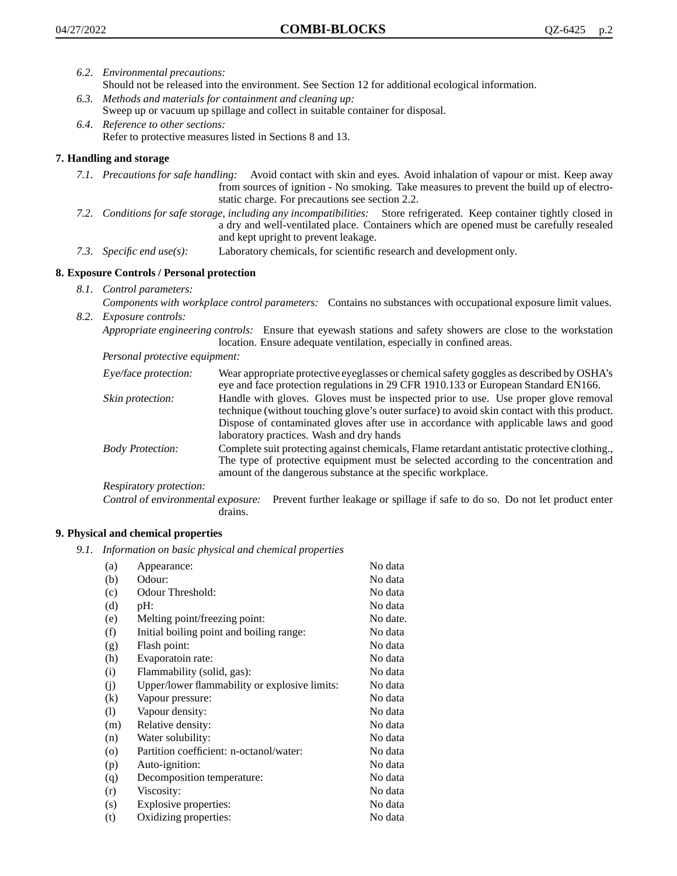- *6.2. Environmental precautions:*
	- Should not be released into the environment. See Section 12 for additional ecological information.
- *6.3. Methods and materials for containment and cleaning up:* Sweep up or vacuum up spillage and collect in suitable container for disposal.
- *6.4. Reference to other sections:* Refer to protective measures listed in Sections 8 and 13.

## **7. Handling and storage**

- *7.1. Precautions for safe handling:* Avoid contact with skin and eyes. Avoid inhalation of vapour or mist. Keep away from sources of ignition - No smoking. Take measures to prevent the build up of electrostatic charge. For precautions see section 2.2.
- *7.2. Conditions for safe storage, including any incompatibilities:* Store refrigerated. Keep container tightly closed in a dry and well-ventilated place. Containers which are opened must be carefully resealed and kept upright to prevent leakage.
- *7.3. Specific end use(s):* Laboratory chemicals, for scientific research and development only.

## **8. Exposure Controls / Personal protection**

*8.1. Control parameters:*

*Components with workplace control parameters:* Contains no substances with occupational exposure limit values. *8.2. Exposure controls:*

*Appropriate engineering controls:* Ensure that eyewash stations and safety showers are close to the workstation location. Ensure adequate ventilation, especially in confined areas.

*Personal protective equipment:*

| Eye/face protection:    | Wear appropriate protective eyeglasses or chemical safety goggles as described by OSHA's<br>eye and face protection regulations in 29 CFR 1910.133 or European Standard EN166.                                                                                                                                         |
|-------------------------|------------------------------------------------------------------------------------------------------------------------------------------------------------------------------------------------------------------------------------------------------------------------------------------------------------------------|
| Skin protection:        | Handle with gloves. Gloves must be inspected prior to use. Use proper glove removal<br>technique (without touching glove's outer surface) to avoid skin contact with this product.<br>Dispose of contaminated gloves after use in accordance with applicable laws and good<br>laboratory practices. Wash and dry hands |
| <b>Body Protection:</b> | Complete suit protecting against chemicals, Flame retardant antistatic protective clothing.,<br>The type of protective equipment must be selected according to the concentration and<br>amount of the dangerous substance at the specific workplace.                                                                   |
| Respiratory protection: |                                                                                                                                                                                                                                                                                                                        |

Control of environmental exposure: Prevent further leakage or spillage if safe to do so. Do not let product enter drains.

## **9. Physical and chemical properties**

*9.1. Information on basic physical and chemical properties*

| (a)                          | Appearance:                                   | No data  |
|------------------------------|-----------------------------------------------|----------|
| (b)                          | Odour:                                        | No data  |
| (c)                          | Odour Threshold:                              | No data  |
| (d)                          | pH:                                           | No data  |
| (e)                          | Melting point/freezing point:                 | No date. |
| (f)                          | Initial boiling point and boiling range:      | No data  |
| (g)                          | Flash point:                                  | No data  |
| (h)                          | Evaporatoin rate:                             | No data  |
| (i)                          | Flammability (solid, gas):                    | No data  |
| (j)                          | Upper/lower flammability or explosive limits: | No data  |
| (k)                          | Vapour pressure:                              | No data  |
| $\left( \frac{1}{2} \right)$ | Vapour density:                               | No data  |
| (m)                          | Relative density:                             | No data  |
| (n)                          | Water solubility:                             | No data  |
| $\circ$                      | Partition coefficient: n-octanol/water:       | No data  |
| (p)                          | Auto-ignition:                                | No data  |
| (q)                          | Decomposition temperature:                    | No data  |
| (r)                          | Viscosity:                                    | No data  |
| (s)                          | Explosive properties:                         | No data  |
| (t)                          | Oxidizing properties:                         | No data  |